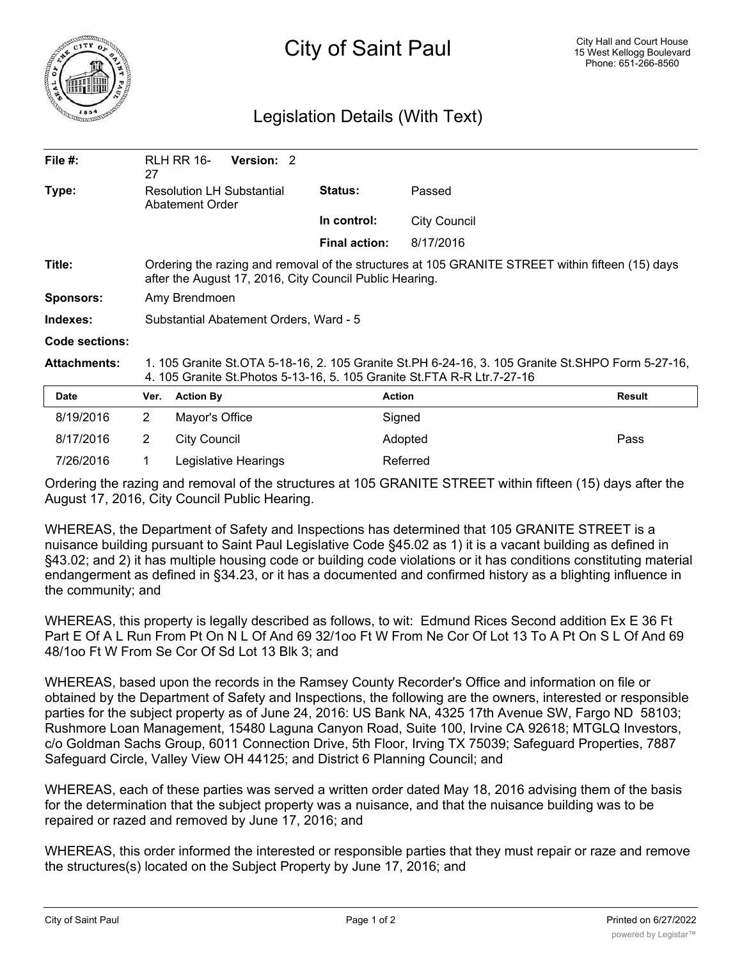

## Legislation Details (With Text)

| File $#$ :          | 27                                                                                                                                                                              | <b>RLH RR 16-</b>   | Version: 2 |  |                      |                     |               |
|---------------------|---------------------------------------------------------------------------------------------------------------------------------------------------------------------------------|---------------------|------------|--|----------------------|---------------------|---------------|
| Type:               | <b>Resolution LH Substantial</b><br>Abatement Order                                                                                                                             |                     |            |  | <b>Status:</b>       | Passed              |               |
|                     |                                                                                                                                                                                 |                     |            |  | In control:          | <b>City Council</b> |               |
|                     |                                                                                                                                                                                 |                     |            |  | <b>Final action:</b> | 8/17/2016           |               |
| Title:              | Ordering the razing and removal of the structures at 105 GRANITE STREET within fifteen (15) days<br>after the August 17, 2016, City Council Public Hearing.                     |                     |            |  |                      |                     |               |
| <b>Sponsors:</b>    | Amy Brendmoen                                                                                                                                                                   |                     |            |  |                      |                     |               |
| Indexes:            | Substantial Abatement Orders, Ward - 5                                                                                                                                          |                     |            |  |                      |                     |               |
| Code sections:      |                                                                                                                                                                                 |                     |            |  |                      |                     |               |
| <b>Attachments:</b> | 1. 105 Granite St.OTA 5-18-16, 2. 105 Granite St.PH 6-24-16, 3. 105 Granite St.SHPO Form 5-27-16,<br>4. 105 Granite St. Photos 5-13-16, 5. 105 Granite St. FTA R-R Ltr. 7-27-16 |                     |            |  |                      |                     |               |
| <b>Date</b>         | Ver.                                                                                                                                                                            | <b>Action By</b>    |            |  | <b>Action</b>        |                     | <b>Result</b> |
| 8/19/2016           | 2                                                                                                                                                                               | Mayor's Office      |            |  |                      | Signed              |               |
| 8/17/2016           | 2                                                                                                                                                                               | <b>City Council</b> |            |  |                      | Adopted             | Pass          |

Ordering the razing and removal of the structures at 105 GRANITE STREET within fifteen (15) days after the August 17, 2016, City Council Public Hearing.

7/26/2016 1 Legislative Hearings Referred

WHEREAS, the Department of Safety and Inspections has determined that 105 GRANITE STREET is a nuisance building pursuant to Saint Paul Legislative Code §45.02 as 1) it is a vacant building as defined in §43.02; and 2) it has multiple housing code or building code violations or it has conditions constituting material endangerment as defined in §34.23, or it has a documented and confirmed history as a blighting influence in the community; and

WHEREAS, this property is legally described as follows, to wit: Edmund Rices Second addition Ex E 36 Ft Part E Of A L Run From Pt On N L Of And 69 32/1oo Ft W From Ne Cor Of Lot 13 To A Pt On S L Of And 69 48/1oo Ft W From Se Cor Of Sd Lot 13 Blk 3; and

WHEREAS, based upon the records in the Ramsey County Recorder's Office and information on file or obtained by the Department of Safety and Inspections, the following are the owners, interested or responsible parties for the subject property as of June 24, 2016: US Bank NA, 4325 17th Avenue SW, Fargo ND 58103; Rushmore Loan Management, 15480 Laguna Canyon Road, Suite 100, Irvine CA 92618; MTGLQ Investors, c/o Goldman Sachs Group, 6011 Connection Drive, 5th Floor, Irving TX 75039; Safeguard Properties, 7887 Safeguard Circle, Valley View OH 44125; and District 6 Planning Council; and

WHEREAS, each of these parties was served a written order dated May 18, 2016 advising them of the basis for the determination that the subject property was a nuisance, and that the nuisance building was to be repaired or razed and removed by June 17, 2016; and

WHEREAS, this order informed the interested or responsible parties that they must repair or raze and remove the structures(s) located on the Subject Property by June 17, 2016; and